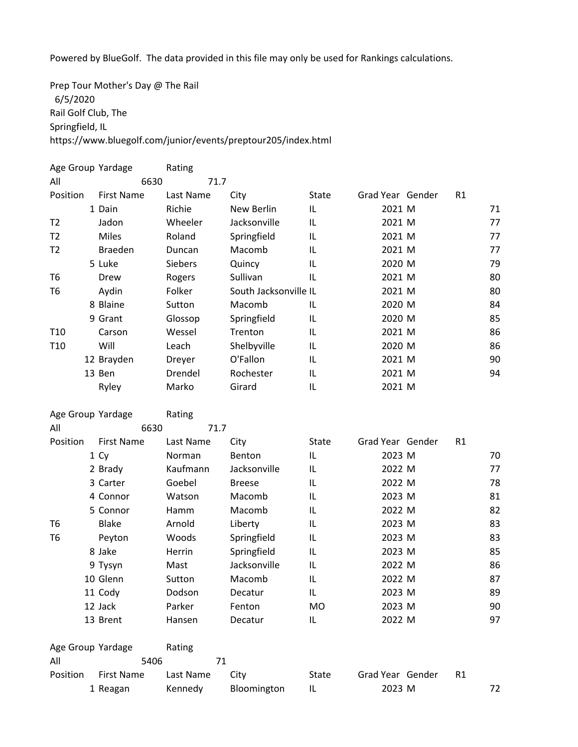Powered by BlueGolf. The data provided in this file may only be used for Rankings calculations.

Prep Tour Mother's Day @ The Rail 6/5/2020 Rail Golf Club, The Springfield, IL https://www.bluegolf.com/junior/events/preptour205/index.html

|                 | Age Group Yardage | Rating         |                       |              |                  |    |    |
|-----------------|-------------------|----------------|-----------------------|--------------|------------------|----|----|
| All             | 6630              | 71.7           |                       |              |                  |    |    |
| Position        | <b>First Name</b> | Last Name      | City                  | <b>State</b> | Grad Year Gender | R1 |    |
|                 | 1 Dain            | Richie         | New Berlin            | IL           | 2021 M           |    | 71 |
| T <sub>2</sub>  | Jadon             | Wheeler        | Jacksonville          | IL           | 2021 M           |    | 77 |
| T <sub>2</sub>  | <b>Miles</b>      | Roland         | Springfield           | IL           | 2021 M           |    | 77 |
| T <sub>2</sub>  | <b>Braeden</b>    | Duncan         | Macomb                | IL           | 2021 M           |    | 77 |
|                 | 5 Luke            | <b>Siebers</b> | Quincy                | IL           | 2020 M           |    | 79 |
| T <sub>6</sub>  | Drew              | Rogers         | Sullivan              | IL           | 2021 M           |    | 80 |
| T <sub>6</sub>  | Aydin             | Folker         | South Jacksonville IL |              | 2021 M           |    | 80 |
|                 | 8 Blaine          | Sutton         | Macomb                | IL           | 2020 M           |    | 84 |
|                 | 9 Grant           | Glossop        | Springfield           | IL           | 2020 M           |    | 85 |
| T <sub>10</sub> | Carson            | Wessel         | Trenton               | IL           | 2021 M           |    | 86 |
| T <sub>10</sub> | Will              | Leach          | Shelbyville           | IL           | 2020 M           |    | 86 |
|                 | 12 Brayden        | Dreyer         | O'Fallon              | IL           | 2021 M           |    | 90 |
|                 | 13 Ben            | Drendel        | Rochester             | IL           | 2021 M           |    | 94 |
|                 | Ryley             | Marko          | Girard                | IL           | 2021 M           |    |    |
|                 |                   |                |                       |              |                  |    |    |
|                 | Age Group Yardage | Rating         |                       |              |                  |    |    |
|                 |                   |                |                       |              |                  |    |    |
| All             | 6630              | 71.7           |                       |              |                  |    |    |
| Position        | <b>First Name</b> | Last Name      | City                  | <b>State</b> | Grad Year Gender | R1 |    |
|                 | 1 Cy              | Norman         | Benton                | IL           | 2023 M           |    | 70 |
|                 | 2 Brady           | Kaufmann       | Jacksonville          | IL           | 2022 M           |    | 77 |
|                 | 3 Carter          | Goebel         | <b>Breese</b>         | IL           | 2022 M           |    | 78 |
|                 | 4 Connor          | Watson         | Macomb                | IL           | 2023 M           |    | 81 |
|                 | 5 Connor          | Hamm           | Macomb                | IL           | 2022 M           |    | 82 |
| T <sub>6</sub>  | <b>Blake</b>      | Arnold         | Liberty               | IL           | 2023 M           |    | 83 |
| T <sub>6</sub>  | Peyton            | Woods          | Springfield           | IL           | 2023 M           |    | 83 |
|                 | 8 Jake            | Herrin         | Springfield           | IL           | 2023 M           |    | 85 |
|                 | 9 Tysyn           | Mast           | Jacksonville          | IL           | 2022 M           |    | 86 |
|                 | 10 Glenn          | Sutton         | Macomb                | IL           | 2022 M           |    | 87 |
|                 | 11 Cody           | Dodson         | Decatur               | IL           | 2023 M           |    | 89 |
|                 | 12 Jack           | Parker         | Fenton                | MO           | 2023 M           |    | 90 |
|                 | 13 Brent          | Hansen         | Decatur               | IL           | 2022 M           |    | 97 |
|                 | Age Group Yardage |                |                       |              |                  |    |    |
| All             | 5406              | Rating<br>71   |                       |              |                  |    |    |
| Position        | <b>First Name</b> | Last Name      | City                  | State        | Grad Year Gender | R1 |    |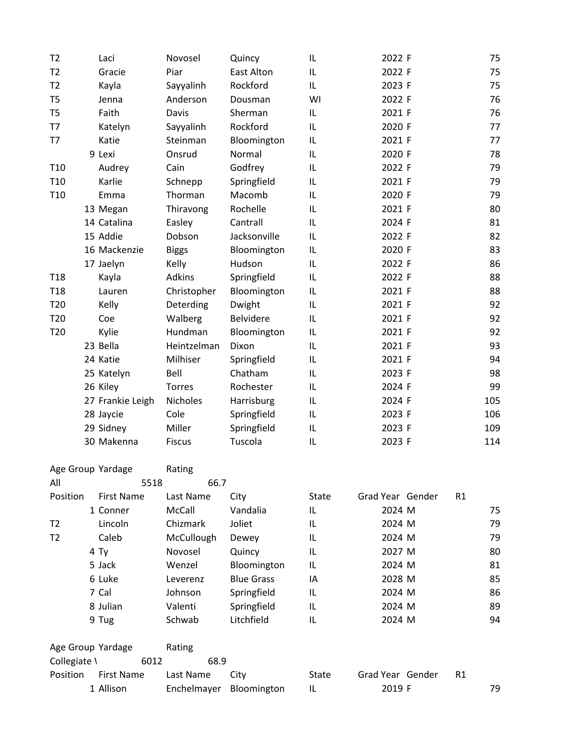| T <sub>2</sub>  | Laci             | Novosel       | Quincy            | IL | 2022 F | 75  |
|-----------------|------------------|---------------|-------------------|----|--------|-----|
| T <sub>2</sub>  | Gracie           | Piar          | <b>East Alton</b> | IL | 2022 F | 75  |
| T <sub>2</sub>  | Kayla            | Sayyalinh     | Rockford          | IL | 2023 F | 75  |
| T <sub>5</sub>  | Jenna            | Anderson      | Dousman           | WI | 2022 F | 76  |
| T <sub>5</sub>  | Faith            | Davis         | Sherman           | IL | 2021 F | 76  |
| T7              | Katelyn          | Sayyalinh     | Rockford          | IL | 2020 F | 77  |
| T7              | Katie            | Steinman      | Bloomington       | IL | 2021 F | 77  |
|                 | 9 Lexi           | Onsrud        | Normal            | IL | 2020 F | 78  |
| T <sub>10</sub> | Audrey           | Cain          | Godfrey           | IL | 2022 F | 79  |
| T <sub>10</sub> | Karlie           | Schnepp       | Springfield       | IL | 2021 F | 79  |
| T <sub>10</sub> | Emma             | Thorman       | Macomb            | IL | 2020 F | 79  |
|                 | 13 Megan         | Thiravong     | Rochelle          | IL | 2021 F | 80  |
|                 | 14 Catalina      | Easley        | Cantrall          | IL | 2024 F | 81  |
|                 | 15 Addie         | Dobson        | Jacksonville      | IL | 2022 F | 82  |
|                 | 16 Mackenzie     | <b>Biggs</b>  | Bloomington       | IL | 2020 F | 83  |
|                 | 17 Jaelyn        | Kelly         | Hudson            | IL | 2022 F | 86  |
| T <sub>18</sub> | Kayla            | Adkins        | Springfield       | IL | 2022 F | 88  |
| T <sub>18</sub> | Lauren           | Christopher   | Bloomington       | IL | 2021 F | 88  |
| T <sub>20</sub> | Kelly            | Deterding     | Dwight            | IL | 2021 F | 92  |
| T20             | Coe              | Walberg       | <b>Belvidere</b>  | IL | 2021 F | 92  |
| T <sub>20</sub> | Kylie            | Hundman       | Bloomington       | IL | 2021 F | 92  |
|                 | 23 Bella         | Heintzelman   | Dixon             | IL | 2021 F | 93  |
|                 | 24 Katie         | Milhiser      | Springfield       | IL | 2021 F | 94  |
|                 | 25 Katelyn       | Bell          | Chatham           | IL | 2023 F | 98  |
|                 | 26 Kiley         | <b>Torres</b> | Rochester         | IL | 2024 F | 99  |
|                 | 27 Frankie Leigh | Nicholes      | Harrisburg        | IL | 2024 F | 105 |
|                 | 28 Jaycie        | Cole          | Springfield       | IL | 2023 F | 106 |
|                 | 29 Sidney        | Miller        | Springfield       | IL | 2023 F | 109 |
|                 | 30 Makenna       | <b>Fiscus</b> | Tuscola           | IL | 2023 F | 114 |
|                 |                  |               |                   |    |        |     |

|                   | Age Group Yardage |        | Rating      |      |                   |       |        |                  |                |    |
|-------------------|-------------------|--------|-------------|------|-------------------|-------|--------|------------------|----------------|----|
| All               |                   | 5518   |             | 66.7 |                   |       |        |                  |                |    |
| Position          | <b>First Name</b> |        | Last Name   |      | City              | State |        | Grad Year Gender | R1             |    |
|                   | 1 Conner          |        | McCall      |      | Vandalia          | IL    | 2024 M |                  |                | 75 |
| T2                | Lincoln           |        | Chizmark    |      | Joliet            | IL    | 2024 M |                  |                | 79 |
| T <sub>2</sub>    | Caleb             |        | McCullough  |      | Dewey             | IL    | 2024 M |                  |                | 79 |
|                   | 4 Ty              |        | Novosel     |      | Quincy            | IL    | 2027 M |                  |                | 80 |
|                   | 5 Jack            |        | Wenzel      |      | Bloomington       | IL    | 2024 M |                  |                | 81 |
|                   | 6 Luke            |        | Leverenz    |      | <b>Blue Grass</b> | IA    | 2028 M |                  |                | 85 |
|                   | 7 Cal             |        | Johnson     |      | Springfield       | IL    | 2024 M |                  |                | 86 |
|                   | 8 Julian          |        | Valenti     |      | Springfield       | IL    | 2024 M |                  |                | 89 |
|                   | 9 Tug             |        | Schwab      |      | Litchfield        | IL    | 2024 M |                  |                | 94 |
| Age Group Yardage |                   | Rating |             |      |                   |       |        |                  |                |    |
| Collegiate \      |                   | 6012   |             | 68.9 |                   |       |        |                  |                |    |
| Position          | <b>First Name</b> |        | Last Name   |      | City              | State |        | Grad Year Gender | R <sub>1</sub> |    |
|                   | 1 Allison         |        | Enchelmayer |      | Bloomington       | IL    | 2019 F |                  |                | 79 |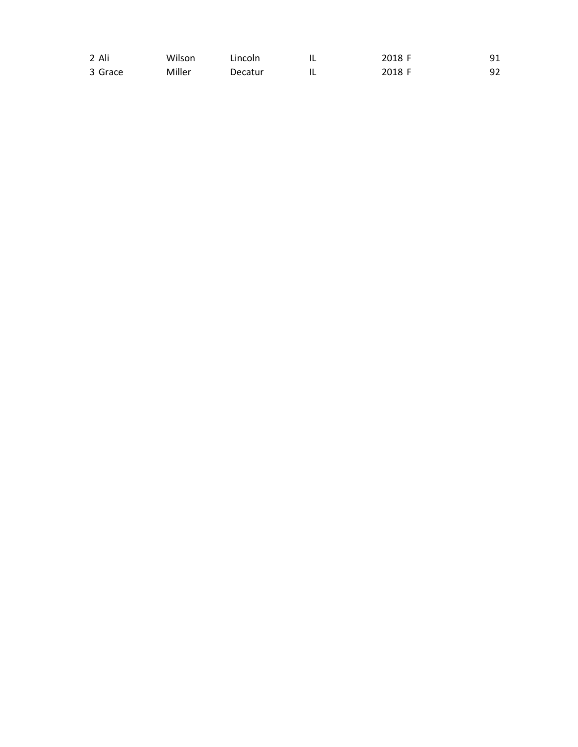| 2 Ali   | Wilson | Lincoln | . . | 2018 F |    |
|---------|--------|---------|-----|--------|----|
| 3 Grace | Miller | Decatur | I L | 2018 F | 92 |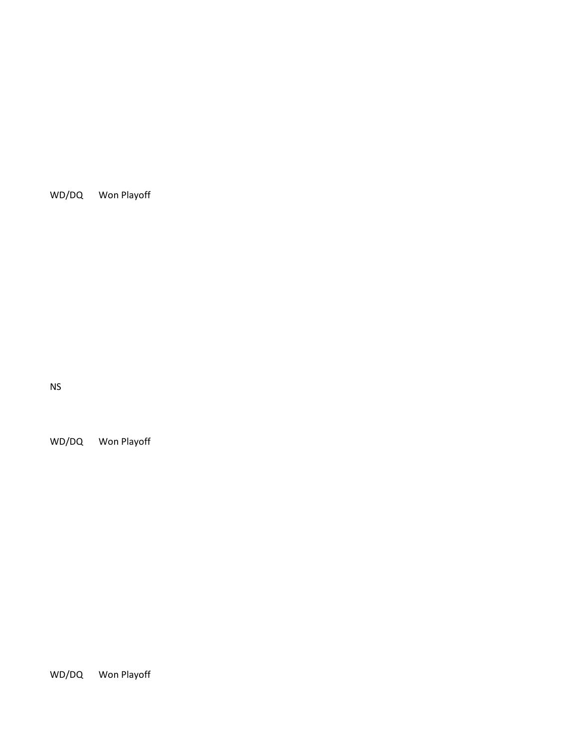WD/DQ Won Playoff

NS

WD/DQ Won Playoff

WD/DQ Won Playoff